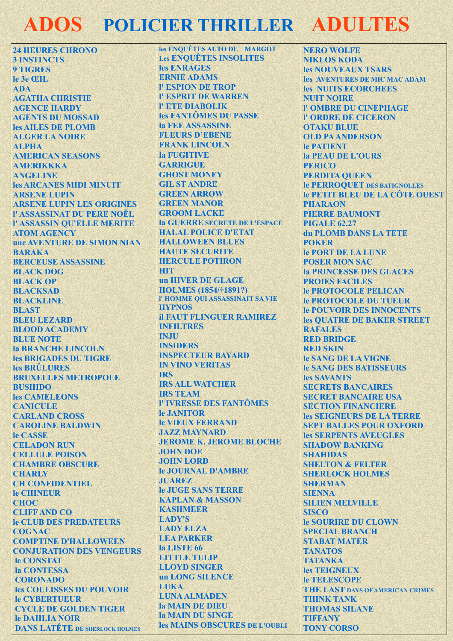## **ADOS POLICIER THRILLER ADULTES**

**24 HEURES CHRONO 3 INSTINCTS 9 TIGRES** le 3e ŒIL **ADA AGATHA CHRISTIE AGENCE HARDY AGENTS DU MOSSAD** les AILES DE PLOMB **ALGER LA NOIRE ALPHA AMERICAN SEASONS AMERIKKKA ANGELINE** les ARCANES MIDI MINUIT **ARSENE LUPIN ARSENE LUPIN LES ORIGINES** l' ASSASSINAT DU PERE NOËL **I' ASSASSIN QU'ELLE MERITE ATOM AGENCY** une AVENTURE DE SIMON NIAN **BARAKA BERCEUSE ASSASSINE BLACK DOG BLACK OP BLACKSAD BLACKLINE BLAST BLEU LEZARD BLOOD ACADEMY BLUE NOTE la BRANCHE LINCOLN** les BRIGADES DU TIGRE les BRÜLURES **BRUXELLES METROPOLE BUSHIDO** les CAMELEONS **CANICIILE CARLAND CROSS CAROLINE BALDWIN** le CASSE **CELADON RUN CELLULE POISON CHAMBRE OBSCURE CHARLY CH CONFIDENTIEL** le CHINEUR **CHOC CLIFF AND CO** le CLUB DES PREDATEURS **COGNAC COMPTINE D'HALLOWEEN CONJURATION DES VENGEURS** le CONSTAT la CONTESSA **CORONADO les COULISSES DU POUVOIR** le CYBERTUEUR **CYCLE DE GOLDEN TIGER** le DAHLIA NOIR **DANS LATÊTE DE SHERLOCK HOLMES** 

les ENOUÊTES AUTO DE MARGOT **Les ENOUÊTES INSOLITES** les ENRAGES **ERNIE ADAMS I' ESPION DE TROP I' ESPRIT DE WARREN I' ETE DIABOLIK** les FANTÔMES DU PASSE **la FEE ASSASSINE FLEURS D'EBENE FRANK LINCOLN** la FUGITIVE **GARRIGHE GHOST MONEY GIL ST ANDRE GREEN ARROW GREEN MANOR GROOM LACKE** la GUERRE SECRETE DE L'ESPACE **HALAL POLICE D'ETAT HALLOWEEN BLUES HAUTE SECURITE HERCULE POTIRON HIT** un HIVER DE GLAGE **HOLMES** (1854/†1891?) I' HOMME QUI ASSASSINAIT SA VIE **HYPNOS** *il FAUT FLINGUER RAMIREZ* **INFILTRES INJU INSIDERS INSPECTEUR BAYARD IN VINO VERITAS TRS IRS ALL WATCHER IRS TEAM I' IVRESSE DES FANTÔMES** le JANITOR **le VIEUX FERRAND JAZZ MAYNARD JEROME K. JEROME BLOCHE JOHN DOE JOHN LORD** le JOURNAL D'AMBRE **JUAREZ le JUGE SANS TERRE KAPLAN & MASSON KASHMEER LADY'S LADY ELZA LEA PARKER** la LISTE 66 **LITTLE TULIP LLOYD SINGER** un LONG SILENCE **LUKA LUNA ALMADEN la MAIN DE DIEU la MAIN DU SINGE** les MAINS OBSCURES DE L'OUBLI

**NERO WOLFE NIKLOS KODA** les NOUVEAUX TSARS les AVENTURES DE MIC MAC ADAM les NUITS ECORCHEES **NUIT NOIRE I' OMBRE DU CINEPHAGE I' ORDRE DE CICERON OTAKU BLUE OLD PA ANDERSON** le PATIENT **la PEAU DE L'OURS PERICO PERDITA QUEEN le PERROOUET DES BATIGNOLLES** le PETIT BLEU DE LA CÔTE OUEST **PHARAON PIERRE BAUMONT PIGALE 62.27 du PLOMB DANS LA TETE POKER le PORT DE LA LUNE POSER MON SAC la PRINCESSE DES GLACES PROJES FACILES le PROTOCOLE PELICAN** le PROTOCOLE DU TUEUR **Je POUVOIR DES INNOCENTS les OUATRE DE BAKER STREET RAFALES RED BRIDGE RED SKIN le SANG DE LA VIGNE le SANG DES BATISSEURS** les SAVANTS **SECRETS BANCAIRES SECRET BANCAIRE USA SECTION FINANCIERE** les SEIGNEURS DE LA TERRE **SEPT BALLES POUR OXFORD** les SERPENTS AVEUGLES **SHADOW BANKING SHAHIDAS SHELTON & FELTER SHERLOCK HOLMES SHERMAN SIENNA SILIEN MELVILLE SISCO le SOURIRE DU CLOWN SPECIAL BRANCH STABAT MATER TANATOS TATANKA** les TEIGNEUX **le TELESCOPE THE LAST DAYS OF AMERICAN CRIMES THINK TANK THOMAS SILANE TIFFANY TONY CORSO**